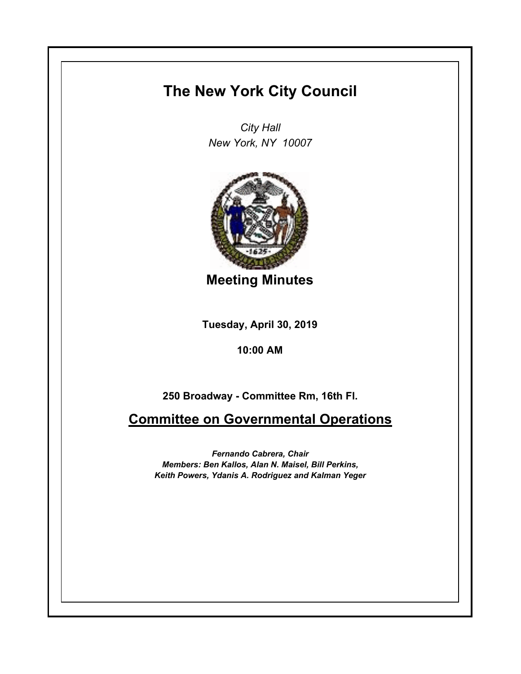## **The New York City Council**

*City Hall New York, NY 10007*



**Meeting Minutes**

**Tuesday, April 30, 2019**

**10:00 AM**

**250 Broadway - Committee Rm, 16th Fl.**

**Committee on Governmental Operations**

*Fernando Cabrera, Chair Members: Ben Kallos, Alan N. Maisel, Bill Perkins, Keith Powers, Ydanis A. Rodriguez and Kalman Yeger*